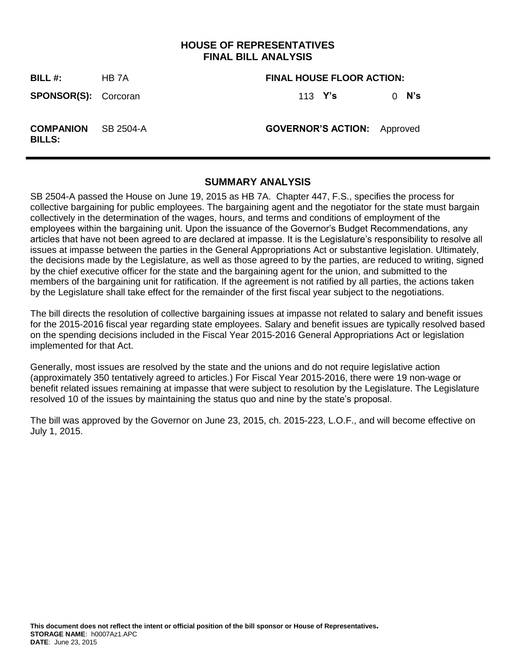## **HOUSE OF REPRESENTATIVES FINAL BILL ANALYSIS**

**BILL #:** HB 7A **FINAL HOUSE FLOOR ACTION: SPONSOR(S):** Corcoran 113 **Y's** 0 **N's COMPANION BILLS:** SB 2504-A **GOVERNOR'S ACTION:** Approved

### **SUMMARY ANALYSIS**

SB 2504-A passed the House on June 19, 2015 as HB 7A. Chapter 447, F.S., specifies the process for collective bargaining for public employees. The bargaining agent and the negotiator for the state must bargain collectively in the determination of the wages, hours, and terms and conditions of employment of the employees within the bargaining unit. Upon the issuance of the Governor's Budget Recommendations, any articles that have not been agreed to are declared at impasse. It is the Legislature's responsibility to resolve all issues at impasse between the parties in the General Appropriations Act or substantive legislation. Ultimately, the decisions made by the Legislature, as well as those agreed to by the parties, are reduced to writing, signed by the chief executive officer for the state and the bargaining agent for the union, and submitted to the members of the bargaining unit for ratification. If the agreement is not ratified by all parties, the actions taken by the Legislature shall take effect for the remainder of the first fiscal year subject to the negotiations.

The bill directs the resolution of collective bargaining issues at impasse not related to salary and benefit issues for the 2015-2016 fiscal year regarding state employees. Salary and benefit issues are typically resolved based on the spending decisions included in the Fiscal Year 2015-2016 General Appropriations Act or legislation implemented for that Act.

Generally, most issues are resolved by the state and the unions and do not require legislative action (approximately 350 tentatively agreed to articles.) For Fiscal Year 2015-2016, there were 19 non-wage or benefit related issues remaining at impasse that were subject to resolution by the Legislature. The Legislature resolved 10 of the issues by maintaining the status quo and nine by the state's proposal.

The bill was approved by the Governor on June 23, 2015, ch. 2015-223, L.O.F., and will become effective on July 1, 2015.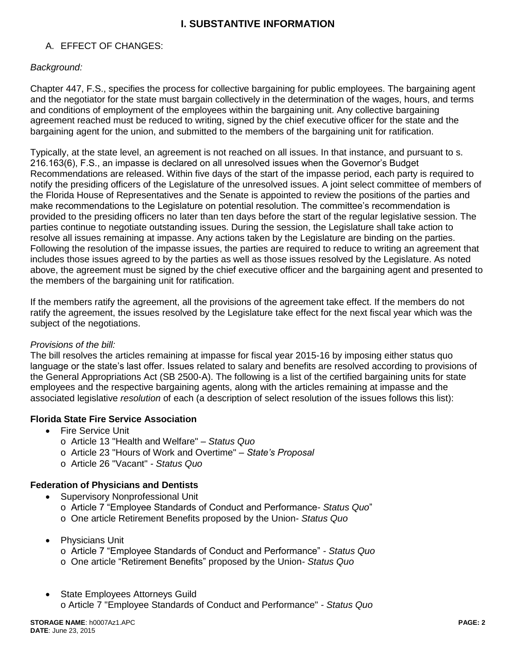# **I. SUBSTANTIVE INFORMATION**

# A. EFFECT OF CHANGES:

## *Background:*

Chapter 447, F.S., specifies the process for collective bargaining for public employees. The bargaining agent and the negotiator for the state must bargain collectively in the determination of the wages, hours, and terms and conditions of employment of the employees within the bargaining unit. Any collective bargaining agreement reached must be reduced to writing, signed by the chief executive officer for the state and the bargaining agent for the union, and submitted to the members of the bargaining unit for ratification.

Typically, at the state level, an agreement is not reached on all issues. In that instance, and pursuant to s. 216.163(6), F.S., an impasse is declared on all unresolved issues when the Governor's Budget Recommendations are released. Within five days of the start of the impasse period, each party is required to notify the presiding officers of the Legislature of the unresolved issues. A joint select committee of members of the Florida House of Representatives and the Senate is appointed to review the positions of the parties and make recommendations to the Legislature on potential resolution. The committee's recommendation is provided to the presiding officers no later than ten days before the start of the regular legislative session. The parties continue to negotiate outstanding issues. During the session, the Legislature shall take action to resolve all issues remaining at impasse. Any actions taken by the Legislature are binding on the parties. Following the resolution of the impasse issues, the parties are required to reduce to writing an agreement that includes those issues agreed to by the parties as well as those issues resolved by the Legislature. As noted above, the agreement must be signed by the chief executive officer and the bargaining agent and presented to the members of the bargaining unit for ratification.

If the members ratify the agreement, all the provisions of the agreement take effect. If the members do not ratify the agreement, the issues resolved by the Legislature take effect for the next fiscal year which was the subject of the negotiations.

#### *Provisions of the bill:*

The bill resolves the articles remaining at impasse for fiscal year 2015-16 by imposing either status quo language or the state's last offer. Issues related to salary and benefits are resolved according to provisions of the General Appropriations Act (SB 2500-A). The following is a list of the certified bargaining units for state employees and the respective bargaining agents, along with the articles remaining at impasse and the associated legislative *resolution* of each (a description of select resolution of the issues follows this list):

#### **Florida State Fire Service Association**

- **•** Fire Service Unit
	- o Article 13 "Health and Welfare" *– Status Quo*
	- o Article 23 "Hours of Work and Overtime" *– State's Proposal*
	- o Article 26 "Vacant" *- Status Quo*

#### **Federation of Physicians and Dentists**

- Supervisory Nonprofessional Unit
	- o Article 7 "Employee Standards of Conduct and Performance*- Status Quo*"
	- o One article Retirement Benefits proposed by the Union*- Status Quo*
- Physicians Unit
	- o Article 7 "Employee Standards of Conduct and Performance" *- Status Quo*
	- o One article "Retirement Benefits" proposed by the Union*- Status Quo*
- State Employees Attorneys Guild o Article 7 "Employee Standards of Conduct and Performance" *- Status Quo*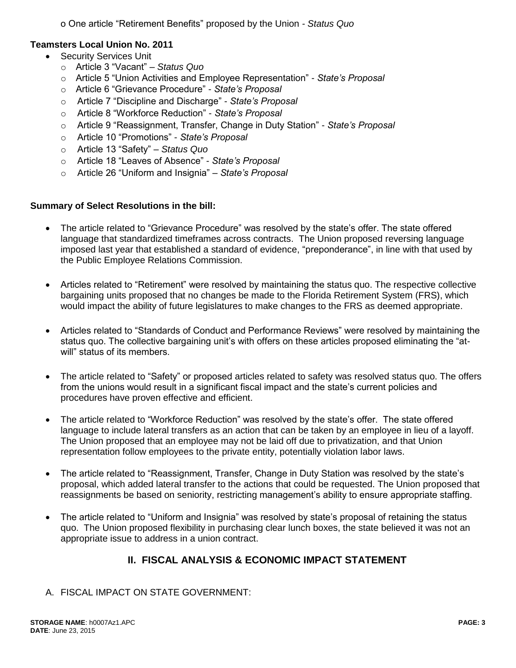o One article "Retirement Benefits" proposed by the Union *- Status Quo* 

### **Teamsters Local Union No. 2011**

- Security Services Unit
	- o Article 3 "Vacant" *Status Quo*
	- o Article 5 "Union Activities and Employee Representation" *State's Proposal*
	- o Article 6 "Grievance Procedure" *State's Proposal*
	- o Article 7 "Discipline and Discharge" *State's Proposal*
	- o Article 8 "Workforce Reduction" *State's Proposal*
	- o Article 9 "Reassignment, Transfer, Change in Duty Station" *State's Proposal*
	- o Article 10 "Promotions" *State's Proposal*
	- o Article 13 "Safety" *Status Quo*
	- o Article 18 "Leaves of Absence" *State's Proposal*
	- o Article 26 "Uniform and Insignia" *State's Proposal*

### **Summary of Select Resolutions in the bill:**

- The article related to "Grievance Procedure" was resolved by the state's offer. The state offered language that standardized timeframes across contracts. The Union proposed reversing language imposed last year that established a standard of evidence, "preponderance", in line with that used by the Public Employee Relations Commission.
- Articles related to "Retirement" were resolved by maintaining the status quo. The respective collective bargaining units proposed that no changes be made to the Florida Retirement System (FRS), which would impact the ability of future legislatures to make changes to the FRS as deemed appropriate.
- Articles related to "Standards of Conduct and Performance Reviews" were resolved by maintaining the status quo. The collective bargaining unit's with offers on these articles proposed eliminating the "atwill" status of its members.
- The article related to "Safety" or proposed articles related to safety was resolved status quo. The offers from the unions would result in a significant fiscal impact and the state's current policies and procedures have proven effective and efficient.
- The article related to "Workforce Reduction" was resolved by the state's offer. The state offered language to include lateral transfers as an action that can be taken by an employee in lieu of a layoff. The Union proposed that an employee may not be laid off due to privatization, and that Union representation follow employees to the private entity, potentially violation labor laws.
- The article related to "Reassignment, Transfer, Change in Duty Station was resolved by the state's proposal, which added lateral transfer to the actions that could be requested. The Union proposed that reassignments be based on seniority, restricting management's ability to ensure appropriate staffing.
- The article related to "Uniform and Insignia" was resolved by state's proposal of retaining the status quo. The Union proposed flexibility in purchasing clear lunch boxes, the state believed it was not an appropriate issue to address in a union contract.

# **II. FISCAL ANALYSIS & ECONOMIC IMPACT STATEMENT**

A. FISCAL IMPACT ON STATE GOVERNMENT: